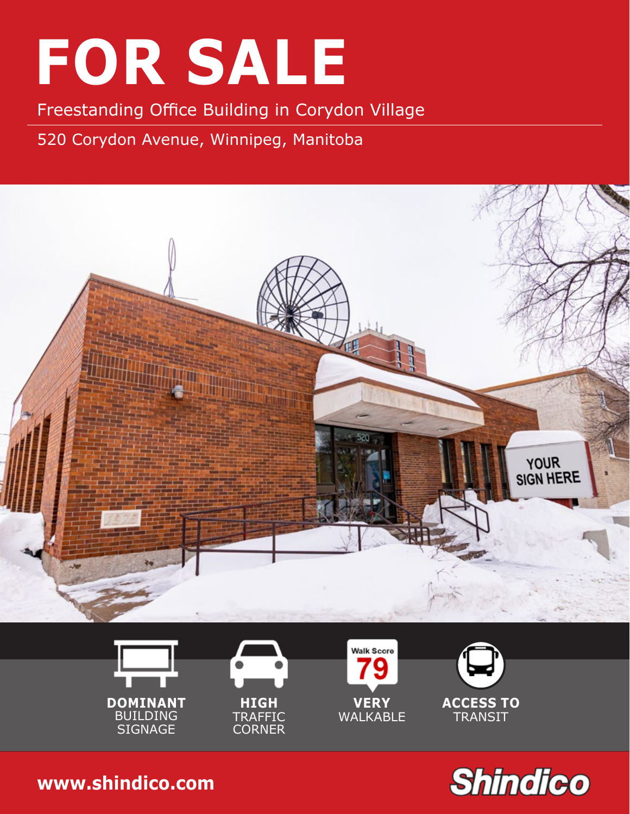Freestanding Office Building in Corydon Village

520 Corydon Avenue, Winnipeg, Manitoba













**204.474.2000 [www.shindico.com](http://www.shindico.com)**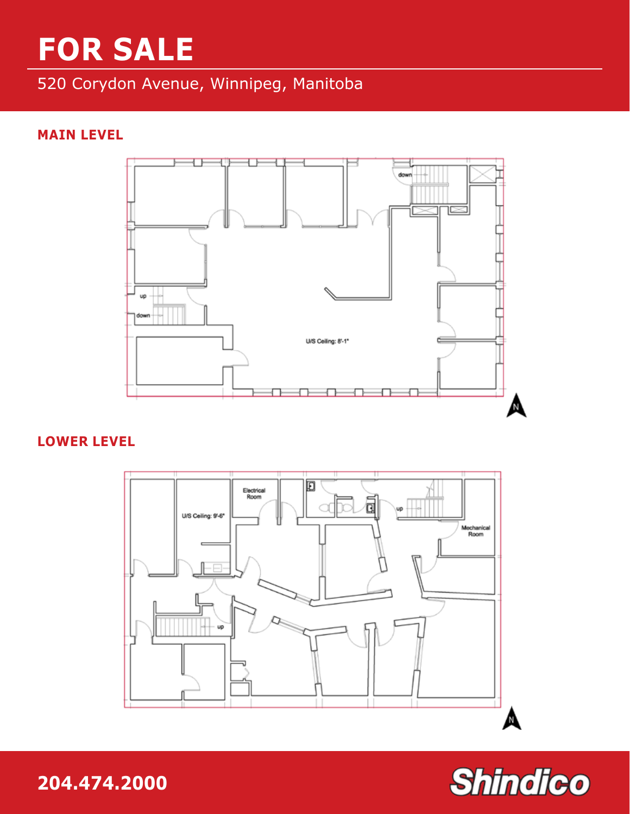### 520 Corydon Avenue, Winnipeg, Manitoba

#### **MAIN LEVEL**



#### **LOWER LEVEL**



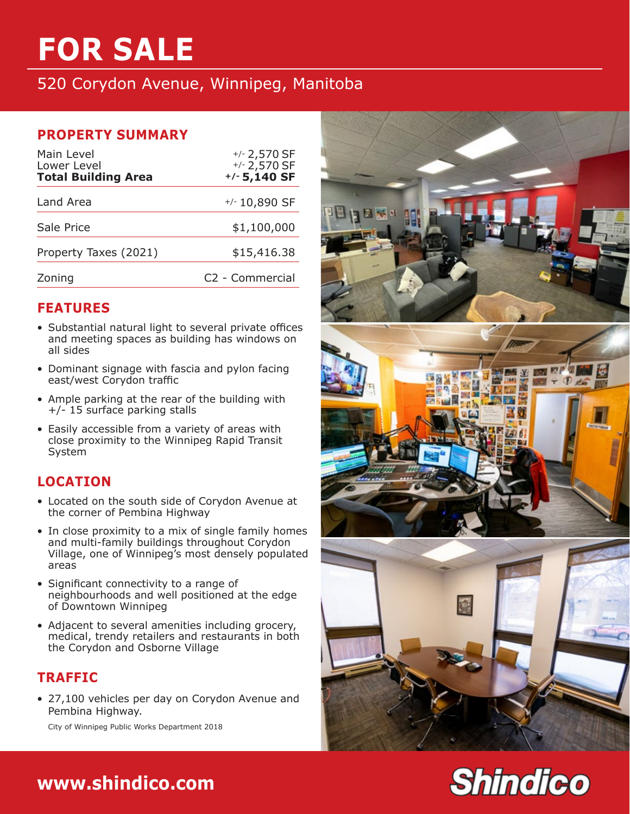520 Corydon Avenue, Winnipeg, Manitoba

#### **PROPERTY SUMMARY**

| Main Level<br>Lower Level<br><b>Total Building Area</b> | $+/- 2,570$ SF<br>$+/- 2,570$ SF<br>$+/- 5,140 SF$ |
|---------------------------------------------------------|----------------------------------------------------|
| Land Area                                               | $+/- 10,890$ SF                                    |
| Sale Price                                              | \$1,100,000                                        |
| Property Taxes (2021)                                   | \$15,416.38                                        |
| Zoning                                                  | C2 - Commercial                                    |

#### **FEATURES**

- Substantial natural light to several private offices and meeting spaces as building has windows on all sides
- Dominant signage with fascia and pylon facing east/west Corydon traffic
- Ample parking at the rear of the building with +/- 15 surface parking stalls
- Easily accessible from a variety of areas with close proximity to the Winnipeg Rapid Transit System

#### **LOCATION**

- Located on the south side of Corydon Avenue at the corner of Pembina Highway
- In close proximity to a mix of single family homes and multi-family buildings throughout Corydon Village, one of Winnipeg's most densely populated areas
- Significant connectivity to a range of neighbourhoods and well positioned at the edge of Downtown Winnipeg
- Adjacent to several amenities including grocery, medical, trendy retailers and restaurants in both the Corydon and Osborne Village

#### **TRAFFIC**

• 27,100 vehicles per day on Corydon Avenue and Pembina Highway.

City of Winnipeg Public Works Department 2018





### **204.474.2000 [www.shindico.com](http://www.shindico.com)**